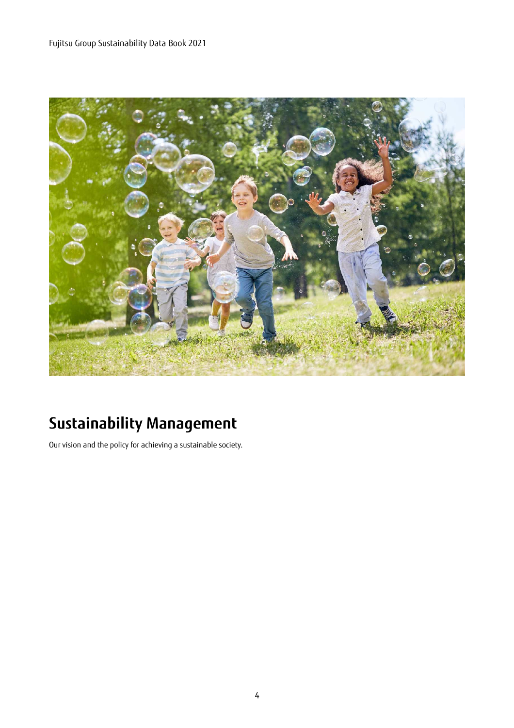

# **Sustainability Management**

Our vision and the policy for achieving a sustainable society.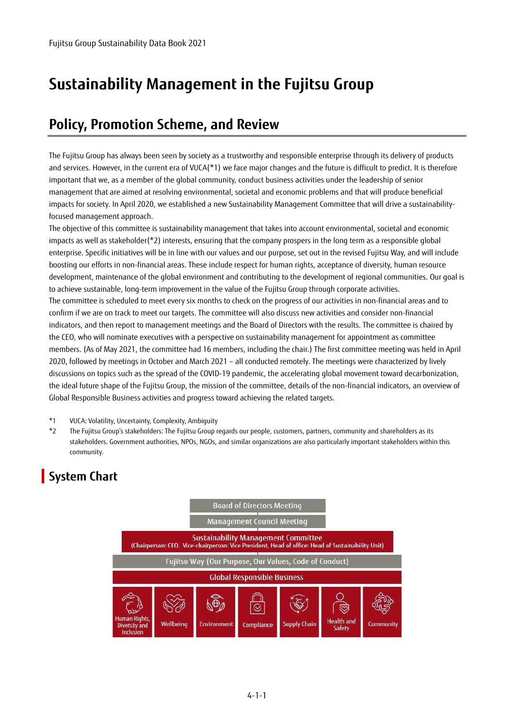# **Sustainability Management in the Fujitsu Group**

## **Policy, Promotion Scheme, and Review**

The Fujitsu Group has always been seen by society as a trustworthy and responsible enterprise through its delivery of products and services. However, in the current era of VUCA(\*1) we face major changes and the future is difficult to predict. It is therefore important that we, as a member of the global community, conduct business activities under the leadership of senior management that are aimed at resolving environmental, societal and economic problems and that will produce beneficial impacts for society. In April 2020, we established a new Sustainability Management Committee that will drive a sustainabilityfocused management approach.

The objective of this committee is sustainability management that takes into account environmental, societal and economic impacts as well as stakeholder(\*2) interests, ensuring that the company prospers in the long term as a responsible global enterprise. Specific initiatives will be in line with our values and our purpose, set out in the revised Fujitsu Way, and will include boosting our efforts in non-financial areas. These include respect for human rights, acceptance of diversity, human resource development, maintenance of the global environment and contributing to the development of regional communities. Our goal is to achieve sustainable, long-term improvement in the value of the Fujitsu Group through corporate activities. The committee is scheduled to meet every six months to check on the progress of our activities in non-financial areas and to confirm if we are on track to meet our targets. The committee will also discuss new activities and consider non-financial indicators, and then report to management meetings and the Board of Directors with the results. The committee is chaired by the CEO, who will nominate executives with a perspective on sustainability management for appointment as committee members. (As of May 2021, the committee had 16 members, including the chair.) The first committee meeting was held in April 2020, followed by meetings in October and March 2021 – all conducted remotely. The meetings were characterized by lively discussions on topics such as the spread of the COVID-19 pandemic, the accelerating global movement toward decarbonization, the ideal future shape of the Fujitsu Group, the mission of the committee, details of the non-financial indicators, an overview of Global Responsible Business activities and progress toward achieving the related targets.

- \*1 VUCA: Volatility, Uncertainty, Complexity, Ambiguity
- \*2 The Fujitsu Group's stakeholders: The Fujitsu Group regards our people, customers, partners, community and shareholders as its stakeholders. Government authorities, NPOs, NGOs, and similar organizations are also particularly important stakeholders within this community.

## **System Chart**

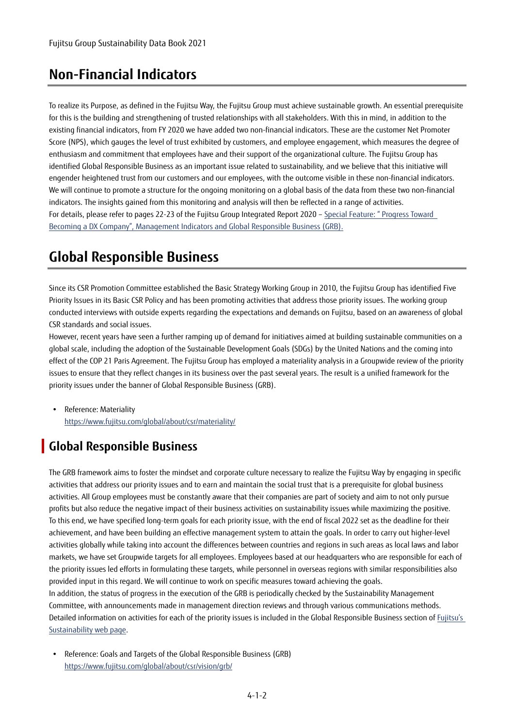## **Non-Financial Indicators**

To realize its Purpose, as defined in the Fujitsu Way, the Fujitsu Group must achieve sustainable growth. An essential prerequisite for this is the building and strengthening of trusted relationships with all stakeholders. With this in mind, in addition to the existing financial indicators, from FY 2020 we have added two non-financial indicators. These are the customer Net Promoter Score (NPS), which gauges the level of trust exhibited by customers, and employee engagement, which measures the degree of enthusiasm and commitment that employees have and their support of the organizational culture. The Fujitsu Group has identified Global Responsible Business as an important issue related to sustainability, and we believe that this initiative will engender heightened trust from our customers and our employees, with the outcome visible in these non-financial indicators. We will continue to promote a structure for the ongoing monitoring on a global basis of the data from these two non-financial indicators. The insights gained from this monitoring and analysis will then be reflected in a range of activities. For details, please refer to pages 22-23 of the Fujitsu Group Integrated Report 2020 [– Special Feature: " Progress Toward](https://www.fujitsu.com/global/about/ir/library/integratedrep/)  [Becoming a DX Company", Management Indicators and Global Responsible Business \(GRB\).](https://www.fujitsu.com/global/about/ir/library/integratedrep/) 

# **Global Responsible Business**

Since its CSR Promotion Committee established the Basic Strategy Working Group in 2010, the Fujitsu Group has identified Five Priority Issues in its Basic CSR Policy and has been promoting activities that address those priority issues. The working group conducted interviews with outside experts regarding the expectations and demands on Fujitsu, based on an awareness of global CSR standards and social issues.

However, recent years have seen a further ramping up of demand for initiatives aimed at building sustainable communities on a global scale, including the adoption of the Sustainable Development Goals (SDGs) by the United Nations and the coming into effect of the COP 21 Paris Agreement. The Fujitsu Group has employed a materiality analysis in a Groupwide review of the priority issues to ensure that they reflect changes in its business over the past several years. The result is a unified framework for the priority issues under the banner of Global Responsible Business (GRB).

• Reference: Materiality https://www.fujitsu.com/global/about/csr/materiality/

### **Global Responsible Business**

The GRB framework aims to foster the mindset and corporate culture necessary to realize the Fujitsu Way by engaging in specific activities that address our priority issues and to earn and maintain the social trust that is a prerequisite for global business activities. All Group employees must be constantly aware that their companies are part of society and aim to not only pursue profits but also reduce the negative impact of their business activities on sustainability issues while maximizing the positive. To this end, we have specified long-term goals for each priority issue, with the end of fiscal 2022 set as the deadline for their achievement, and have been building an effective management system to attain the goals. In order to carry out higher-level activities globally while taking into account the differences between countries and regions in such areas as local laws and labor markets, we have set Groupwide targets for all employees. Employees based at our headquarters who are responsible for each of the priority issues led efforts in formulating these targets, while personnel in overseas regions with similar responsibilities also provided input in this regard. We will continue to work on specific measures toward achieving the goals. In addition, the status of progress in the execution of the GRB is periodically checked by the Sustainability Management Committee, with announcements made in management direction reviews and through various communications methods. Detailed information on activities for each of the priority issues is included in the Global Responsible Business section of [Fujitsu's](https://www.fujitsu.com/global/about/csr/riskmanagement/)  [Sustainability web page.](https://www.fujitsu.com/global/about/csr/riskmanagement/) 

 Reference: Goals and Targets of the Global Responsible Business (GRB) https://www.fujitsu.com/global/about/csr/vision/grb/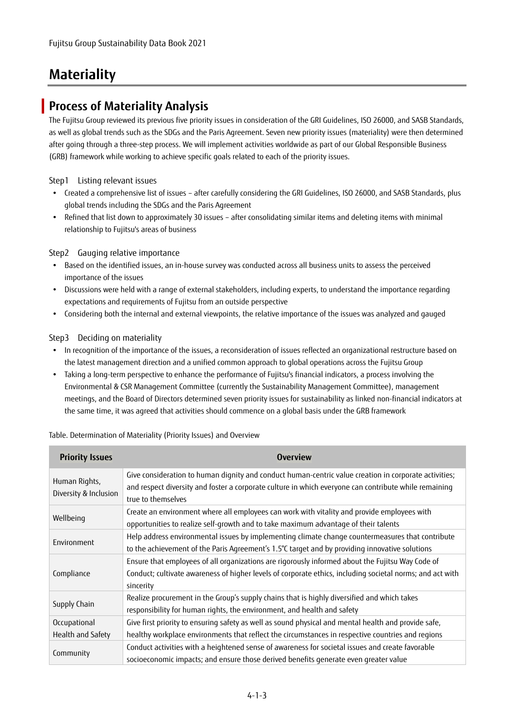# **Materiality**

#### **Process of Materiality Analysis**

The Fujitsu Group reviewed its previous five priority issues in consideration of the GRI Guidelines, ISO 26000, and SASB Standards, as well as global trends such as the SDGs and the Paris Agreement. Seven new priority issues (materiality) were then determined after going through a three-step process. We will implement activities worldwide as part of our Global Responsible Business (GRB) framework while working to achieve specific goals related to each of the priority issues.

Step1 Listing relevant issues

- Created a comprehensive list of issues after carefully considering the GRI Guidelines, ISO 26000, and SASB Standards, plus global trends including the SDGs and the Paris Agreement
- Refined that list down to approximately 30 issues after consolidating similar items and deleting items with minimal relationship to Fujitsu's areas of business

Step2 Gauging relative importance

- Based on the identified issues, an in-house survey was conducted across all business units to assess the perceived importance of the issues
- Discussions were held with a range of external stakeholders, including experts, to understand the importance regarding expectations and requirements of Fujitsu from an outside perspective
- Considering both the internal and external viewpoints, the relative importance of the issues was analyzed and gauged

#### Step3 Deciding on materiality

- In recognition of the importance of the issues, a reconsideration of issues reflected an organizational restructure based on the latest management direction and a unified common approach to global operations across the Fujitsu Group
- Taking a long-term perspective to enhance the performance of Fujitsu's financial indicators, a process involving the Environmental & CSR Management Committee (currently the Sustainability Management Committee), management meetings, and the Board of Directors determined seven priority issues for sustainability as linked non-financial indicators at the same time, it was agreed that activities should commence on a global basis under the GRB framework

| <b>Priority Issues</b>                 | <b>Overview</b>                                                                                                                                                                                                                      |
|----------------------------------------|--------------------------------------------------------------------------------------------------------------------------------------------------------------------------------------------------------------------------------------|
| Human Rights,<br>Diversity & Inclusion | Give consideration to human dignity and conduct human-centric value creation in corporate activities;<br>and respect diversity and foster a corporate culture in which everyone can contribute while remaining<br>true to themselves |
| Wellbeing                              | Create an environment where all employees can work with vitality and provide employees with<br>opportunities to realize self-growth and to take maximum advantage of their talents                                                   |
| Environment                            | Help address environmental issues by implementing climate change countermeasures that contribute<br>to the achievement of the Paris Agreement's 1.5°C target and by providing innovative solutions                                   |
| Compliance                             | Ensure that employees of all organizations are rigorously informed about the Fujitsu Way Code of<br>Conduct; cultivate awareness of higher levels of corporate ethics, including societal norms; and act with<br>sincerity           |
| Supply Chain                           | Realize procurement in the Group's supply chains that is highly diversified and which takes<br>responsibility for human rights, the environment, and health and safety                                                               |
| Occupational                           | Give first priority to ensuring safety as well as sound physical and mental health and provide safe,                                                                                                                                 |
| Health and Safety                      | healthy workplace environments that reflect the circumstances in respective countries and regions                                                                                                                                    |
| Community                              | Conduct activities with a heightened sense of awareness for societal issues and create favorable<br>socioeconomic impacts; and ensure those derived benefits generate even greater value                                             |

#### Table. Determination of Materiality (Priority Issues) and Overview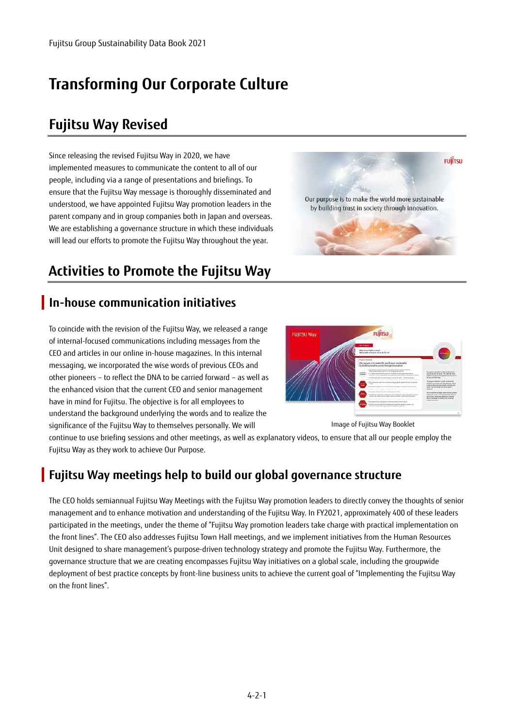# **Transforming Our Corporate Culture**

## **Fujitsu Way Revised**

Since releasing the revised Fujitsu Way in 2020, we have implemented measures to communicate the content to all of our people, including via a range of presentations and briefings. To ensure that the Fujitsu Way message is thoroughly disseminated and understood, we have appointed Fujitsu Way promotion leaders in the parent company and in group companies both in Japan and overseas. We are establishing a governance structure in which these individuals will lead our efforts to promote the Fujitsu Way throughout the year.

# **Activities to Promote the Fujitsu Way**

### **In-house communication initiatives**

To coincide with the revision of the Fujitsu Way, we released a range of internal-focused communications including messages from the CEO and articles in our online in-house magazines. In this internal messaging, we incorporated the wise words of previous CEOs and other pioneers – to reflect the DNA to be carried forward – as well as the enhanced vision that the current CEO and senior management have in mind for Fujitsu. The objective is for all employees to understand the background underlying the words and to realize the significance of the Fujitsu Way to themselves personally. We will





Image of Fujitsu Way Booklet

continue to use briefing sessions and other meetings, as well as explanatory videos, to ensure that all our people employ the Fujitsu Way as they work to achieve Our Purpose.

### **Fujitsu Way meetings help to build our global governance structure**

The CEO holds semiannual Fujitsu Way Meetings with the Fujitsu Way promotion leaders to directly convey the thoughts of senior management and to enhance motivation and understanding of the Fujitsu Way. In FY2021, approximately 400 of these leaders participated in the meetings, under the theme of "Fujitsu Way promotion leaders take charge with practical implementation on the front lines". The CEO also addresses Fujitsu Town Hall meetings, and we implement initiatives from the Human Resources Unit designed to share management's purpose-driven technology strategy and promote the Fujitsu Way. Furthermore, the governance structure that we are creating encompasses Fujitsu Way initiatives on a global scale, including the groupwide deployment of best practice concepts by front-line business units to achieve the current goal of "Implementing the Fujitsu Way on the front lines".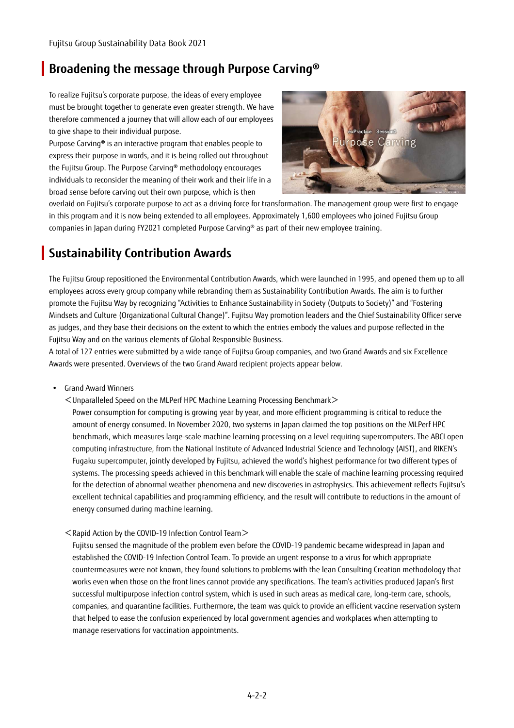#### **Broadening the message through Purpose Carving®**

To realize Fujitsu's corporate purpose, the ideas of every employee must be brought together to generate even greater strength. We have therefore commenced a journey that will allow each of our employees to give shape to their individual purpose.

Purpose Carving® is an interactive program that enables people to express their purpose in words, and it is being rolled out throughout the Fujitsu Group. The Purpose Carving® methodology encourages individuals to reconsider the meaning of their work and their life in a broad sense before carving out their own purpose, which is then



overlaid on Fujitsu's corporate purpose to act as a driving force for transformation. The management group were first to engage in this program and it is now being extended to all employees. Approximately 1,600 employees who joined Fujitsu Group companies in Japan during FY2021 completed Purpose Carving® as part of their new employee training.

### **Sustainability Contribution Awards**

The Fujitsu Group repositioned the Environmental Contribution Awards, which were launched in 1995, and opened them up to all employees across every group company while rebranding them as Sustainability Contribution Awards. The aim is to further promote the Fujitsu Way by recognizing "Activities to Enhance Sustainability in Society (Outputs to Society)" and "Fostering Mindsets and Culture (Organizational Cultural Change)". Fujitsu Way promotion leaders and the Chief Sustainability Officer serve as judges, and they base their decisions on the extent to which the entries embody the values and purpose reflected in the Fujitsu Way and on the various elements of Global Responsible Business.

A total of 127 entries were submitted by a wide range of Fujitsu Group companies, and two Grand Awards and six Excellence Awards were presented. Overviews of the two Grand Award recipient projects appear below.

- Grand Award Winners
	- <Unparalleled Speed on the MLPerf HPC Machine Learning Processing Benchmark>

Power consumption for computing is growing year by year, and more efficient programming is critical to reduce the amount of energy consumed. In November 2020, two systems in Japan claimed the top positions on the MLPerf HPC benchmark, which measures large-scale machine learning processing on a level requiring supercomputers. The ABCI open computing infrastructure, from the National Institute of Advanced Industrial Science and Technology (AIST), and RIKEN's Fugaku supercomputer, jointly developed by Fujitsu, achieved the world's highest performance for two different types of systems. The processing speeds achieved in this benchmark will enable the scale of machine learning processing required for the detection of abnormal weather phenomena and new discoveries in astrophysics. This achievement reflects Fujitsu's excellent technical capabilities and programming efficiency, and the result will contribute to reductions in the amount of energy consumed during machine learning.

<Rapid Action by the COVID-19 Infection Control Team>

Fujitsu sensed the magnitude of the problem even before the COVID-19 pandemic became widespread in Japan and established the COVID-19 Infection Control Team. To provide an urgent response to a virus for which appropriate countermeasures were not known, they found solutions to problems with the lean Consulting Creation methodology that works even when those on the front lines cannot provide any specifications. The team's activities produced Japan's first successful multipurpose infection control system, which is used in such areas as medical care, long-term care, schools, companies, and quarantine facilities. Furthermore, the team was quick to provide an efficient vaccine reservation system that helped to ease the confusion experienced by local government agencies and workplaces when attempting to manage reservations for vaccination appointments.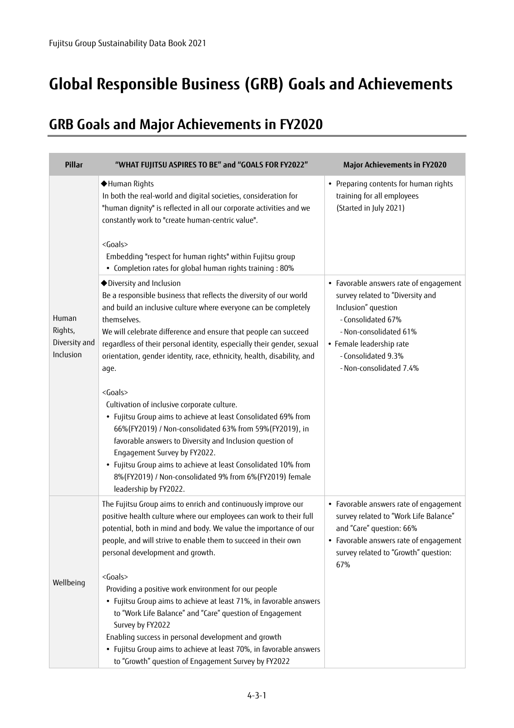# **Global Responsible Business (GRB) Goals and Achievements**

## **GRB Goals and Major Achievements in FY2020**

| Pillar                                         | "WHAT FUJITSU ASPIRES TO BE" and "GOALS FOR FY2022"                                                                                                                                                                                                                                                                                                                                                                                                                                                                                                                                                                                                                                                                                                                                                                                                                       | <b>Major Achievements in FY2020</b>                                                                                                                                                                                             |
|------------------------------------------------|---------------------------------------------------------------------------------------------------------------------------------------------------------------------------------------------------------------------------------------------------------------------------------------------------------------------------------------------------------------------------------------------------------------------------------------------------------------------------------------------------------------------------------------------------------------------------------------------------------------------------------------------------------------------------------------------------------------------------------------------------------------------------------------------------------------------------------------------------------------------------|---------------------------------------------------------------------------------------------------------------------------------------------------------------------------------------------------------------------------------|
|                                                | ◆Human Rights<br>In both the real-world and digital societies, consideration for<br>"human dignity" is reflected in all our corporate activities and we<br>constantly work to "create human-centric value".<br><goals><br/>Embedding "respect for human rights" within Fujitsu group<br/>• Completion rates for global human rights training : 80%</goals>                                                                                                                                                                                                                                                                                                                                                                                                                                                                                                                | • Preparing contents for human rights<br>training for all employees<br>(Started in July 2021)                                                                                                                                   |
| Human<br>Rights,<br>Diversity and<br>Inclusion | ◆ Diversity and Inclusion<br>Be a responsible business that reflects the diversity of our world<br>and build an inclusive culture where everyone can be completely<br>themselves.<br>We will celebrate difference and ensure that people can succeed<br>regardless of their personal identity, especially their gender, sexual<br>orientation, gender identity, race, ethnicity, health, disability, and<br>age.<br><goals><br/>Cultivation of inclusive corporate culture.<br/>• Fujitsu Group aims to achieve at least Consolidated 69% from<br/>66%(FY2019) / Non-consolidated 63% from 59%(FY2019), in<br/>favorable answers to Diversity and Inclusion question of<br/>Engagement Survey by FY2022.<br/>• Fujitsu Group aims to achieve at least Consolidated 10% from<br/>8%(FY2019) / Non-consolidated 9% from 6%(FY2019) female<br/>leadership by FY2022.</goals> | • Favorable answers rate of engagement<br>survey related to "Diversity and<br>Inclusion" question<br>- Consolidated 67%<br>- Non-consolidated 61%<br>• Female leadership rate<br>- Consolidated 9.3%<br>- Non-consolidated 7.4% |
| Wellbeing                                      | The Fujitsu Group aims to enrich and continuously improve our<br>positive health culture where our employees can work to their full<br>potential, both in mind and body. We value the importance of our<br>people, and will strive to enable them to succeed in their own<br>personal development and growth.<br><goals><br/>Providing a positive work environment for our people<br/>• Fujitsu Group aims to achieve at least 71%, in favorable answers<br/>to "Work Life Balance" and "Care" question of Engagement<br/>Survey by FY2022<br/>Enabling success in personal development and growth<br/>• Fujitsu Group aims to achieve at least 70%, in favorable answers<br/>to "Growth" question of Engagement Survey by FY2022</goals>                                                                                                                                 | • Favorable answers rate of engagement<br>survey related to "Work Life Balance"<br>and "Care" question: 66%<br>• Favorable answers rate of engagement<br>survey related to "Growth" question:<br>67%                            |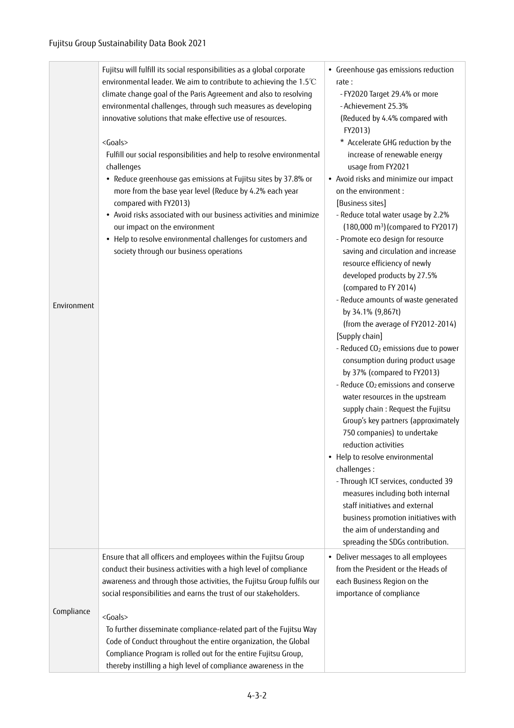#### Fujitsu Group Sustainability Data Book 2021

| Environment | Fujitsu will fulfill its social responsibilities as a global corporate<br>environmental leader. We aim to contribute to achieving the 1.5°C<br>climate change goal of the Paris Agreement and also to resolving<br>environmental challenges, through such measures as developing<br>innovative solutions that make effective use of resources.<br><goals><br/>Fulfill our social responsibilities and help to resolve environmental<br/>challenges<br/>• Reduce greenhouse gas emissions at Fujitsu sites by 37.8% or<br/>more from the base year level (Reduce by 4.2% each year<br/>compared with FY2013)<br/>• Avoid risks associated with our business activities and minimize<br/>our impact on the environment<br/>• Help to resolve environmental challenges for customers and<br/>society through our business operations</goals> | • Greenhouse gas emissions reduction<br>rate:<br>- FY2020 Target 29.4% or more<br>- Achievement 25.3%<br>(Reduced by 4.4% compared with<br>FY2013)<br>* Accelerate GHG reduction by the<br>increase of renewable energy<br>usage from FY2021<br>• Avoid risks and minimize our impact<br>on the environment:<br>[Business sites]<br>- Reduce total water usage by 2.2%<br>$(180,000 \text{ m}^3)(\text{compared to FY2017})$<br>- Promote eco design for resource<br>saving and circulation and increase<br>resource efficiency of newly<br>developed products by 27.5%<br>(compared to FY 2014)<br>- Reduce amounts of waste generated<br>by 34.1% (9,867t)<br>(from the average of FY2012-2014)<br>[Supply chain]<br>- Reduced CO <sub>2</sub> emissions due to power<br>consumption during product usage<br>by 37% (compared to FY2013)<br>- Reduce CO <sub>2</sub> emissions and conserve<br>water resources in the upstream<br>supply chain : Request the Fujitsu<br>Group's key partners (approximately<br>750 companies) to undertake<br>reduction activities<br>• Help to resolve environmental<br>challenges:<br>- Through ICT services, conducted 39<br>measures including both internal<br>staff initiatives and external<br>business promotion initiatives with<br>the aim of understanding and<br>spreading the SDGs contribution. |
|-------------|-------------------------------------------------------------------------------------------------------------------------------------------------------------------------------------------------------------------------------------------------------------------------------------------------------------------------------------------------------------------------------------------------------------------------------------------------------------------------------------------------------------------------------------------------------------------------------------------------------------------------------------------------------------------------------------------------------------------------------------------------------------------------------------------------------------------------------------------|-------------------------------------------------------------------------------------------------------------------------------------------------------------------------------------------------------------------------------------------------------------------------------------------------------------------------------------------------------------------------------------------------------------------------------------------------------------------------------------------------------------------------------------------------------------------------------------------------------------------------------------------------------------------------------------------------------------------------------------------------------------------------------------------------------------------------------------------------------------------------------------------------------------------------------------------------------------------------------------------------------------------------------------------------------------------------------------------------------------------------------------------------------------------------------------------------------------------------------------------------------------------------------------------------------------------------------------------------|
| Compliance  | Ensure that all officers and employees within the Fujitsu Group<br>conduct their business activities with a high level of compliance<br>awareness and through those activities, the Fujitsu Group fulfils our<br>social responsibilities and earns the trust of our stakeholders.<br><goals><br/>To further disseminate compliance-related part of the Fujitsu Way<br/>Code of Conduct throughout the entire organization, the Global<br/>Compliance Program is rolled out for the entire Fujitsu Group,<br/>thereby instilling a high level of compliance awareness in the</goals>                                                                                                                                                                                                                                                       | • Deliver messages to all employees<br>from the President or the Heads of<br>each Business Region on the<br>importance of compliance                                                                                                                                                                                                                                                                                                                                                                                                                                                                                                                                                                                                                                                                                                                                                                                                                                                                                                                                                                                                                                                                                                                                                                                                            |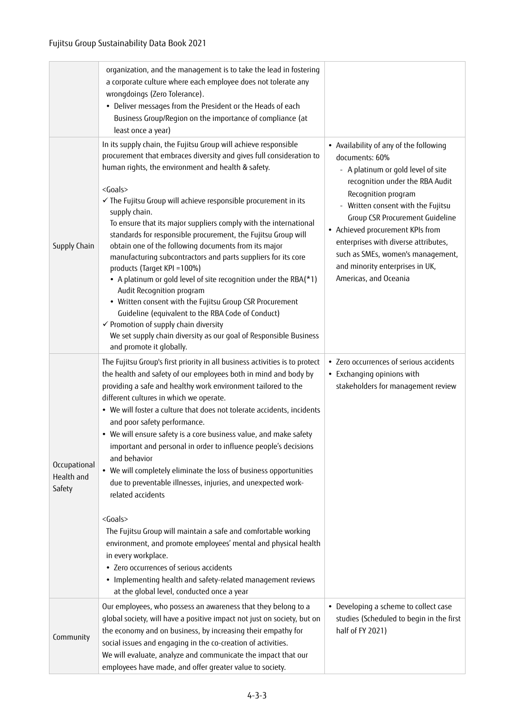|                                      | organization, and the management is to take the lead in fostering<br>a corporate culture where each employee does not tolerate any<br>wrongdoings (Zero Tolerance).<br>• Deliver messages from the President or the Heads of each<br>Business Group/Region on the importance of compliance (at<br>least once a year)                                                                                                                                                                                                                                                                                                                                                                                                                                                                                                                                                                                                                                                                                                               |                                                                                                                                                                                                                                                                                                                                                                                                                     |
|--------------------------------------|------------------------------------------------------------------------------------------------------------------------------------------------------------------------------------------------------------------------------------------------------------------------------------------------------------------------------------------------------------------------------------------------------------------------------------------------------------------------------------------------------------------------------------------------------------------------------------------------------------------------------------------------------------------------------------------------------------------------------------------------------------------------------------------------------------------------------------------------------------------------------------------------------------------------------------------------------------------------------------------------------------------------------------|---------------------------------------------------------------------------------------------------------------------------------------------------------------------------------------------------------------------------------------------------------------------------------------------------------------------------------------------------------------------------------------------------------------------|
| Supply Chain                         | In its supply chain, the Fujitsu Group will achieve responsible<br>procurement that embraces diversity and gives full consideration to<br>human rights, the environment and health & safety.<br><goals><br/>√ The Fujitsu Group will achieve responsible procurement in its<br/>supply chain.<br/>To ensure that its major suppliers comply with the international<br/>standards for responsible procurement, the Fujitsu Group will<br/>obtain one of the following documents from its major<br/>manufacturing subcontractors and parts suppliers for its core<br/>products (Target KPI = 100%)<br/>• A platinum or gold level of site recognition under the RBA(*1)<br/>Audit Recognition program<br/>• Written consent with the Fujitsu Group CSR Procurement<br/>Guideline (equivalent to the RBA Code of Conduct)<br/>← Promotion of supply chain diversity<br/>We set supply chain diversity as our goal of Responsible Business<br/>and promote it globally.</goals>                                                        | • Availability of any of the following<br>documents: 60%<br>- A platinum or gold level of site<br>recognition under the RBA Audit<br>Recognition program<br>Written consent with the Fujitsu<br><b>Group CSR Procurement Guideline</b><br>• Achieved procurement KPIs from<br>enterprises with diverse attributes,<br>such as SMEs, women's management,<br>and minority enterprises in UK,<br>Americas, and Oceania |
| Occupational<br>Health and<br>Safety | The Fujitsu Group's first priority in all business activities is to protect<br>the health and safety of our employees both in mind and body by<br>providing a safe and healthy work environment tailored to the<br>different cultures in which we operate.<br>• We will foster a culture that does not tolerate accidents, incidents<br>and poor safety performance.<br>• We will ensure safety is a core business value, and make safety<br>important and personal in order to influence people's decisions<br>and behavior<br>• We will completely eliminate the loss of business opportunities<br>due to preventable illnesses, injuries, and unexpected work-<br>related accidents<br><goals><br/>The Fujitsu Group will maintain a safe and comfortable working<br/>environment, and promote employees' mental and physical health<br/>in every workplace.<br/>• Zero occurrences of serious accidents<br/>• Implementing health and safety-related management reviews<br/>at the global level, conducted once a year</goals> | • Zero occurrences of serious accidents<br>• Exchanging opinions with<br>stakeholders for management review                                                                                                                                                                                                                                                                                                         |
| Community                            | Our employees, who possess an awareness that they belong to a<br>global society, will have a positive impact not just on society, but on<br>the economy and on business, by increasing their empathy for<br>social issues and engaging in the co-creation of activities.<br>We will evaluate, analyze and communicate the impact that our<br>employees have made, and offer greater value to society.                                                                                                                                                                                                                                                                                                                                                                                                                                                                                                                                                                                                                              | • Developing a scheme to collect case<br>studies (Scheduled to begin in the first<br>half of FY 2021)                                                                                                                                                                                                                                                                                                               |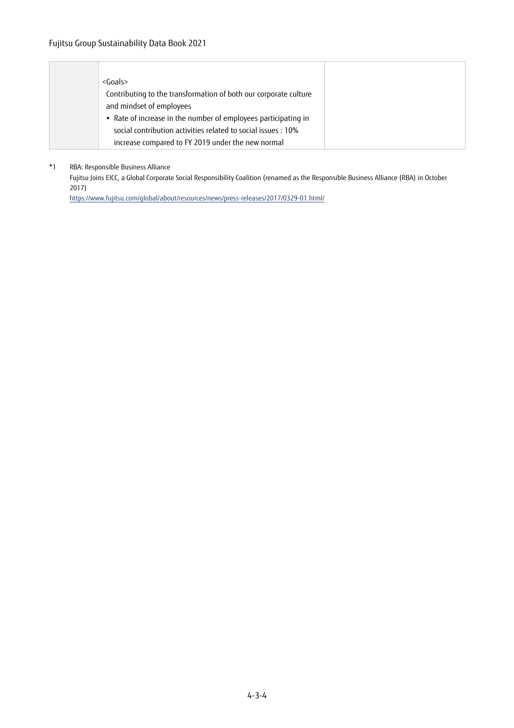| $<$ Goals $>$                                                    |
|------------------------------------------------------------------|
| Contributing to the transformation of both our corporate culture |
| and mindset of employees                                         |
| • Rate of increase in the number of employees participating in   |
| social contribution activities related to social issues : 10%    |
| increase compared to FY 2019 under the new normal                |

\*1 RBA: Responsible Business Alliance

Fujitsu Joins EICC, a Global Corporate Social Responsibility Coalition (renamed as the Responsible Business Alliance (RBA) in October 2017)

https://www.fujitsu.com/global/about/resources/news/press-releases/2017/0329-01.html/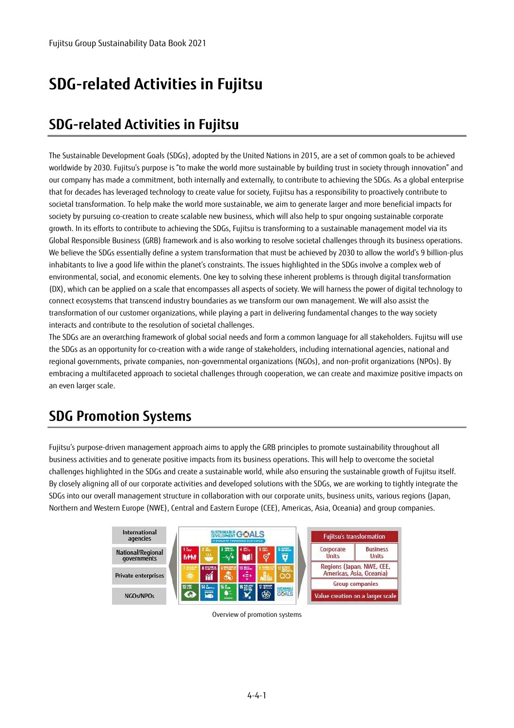# **SDG-related Activities in Fujitsu**

# **SDG-related Activities in Fujitsu**

The Sustainable Development Goals (SDGs), adopted by the United Nations in 2015, are a set of common goals to be achieved worldwide by 2030. Fujitsu's purpose is "to make the world more sustainable by building trust in society through innovation" and our company has made a commitment, both internally and externally, to contribute to achieving the SDGs. As a global enterprise that for decades has leveraged technology to create value for society, Fujitsu has a responsibility to proactively contribute to societal transformation. To help make the world more sustainable, we aim to generate larger and more beneficial impacts for society by pursuing co-creation to create scalable new business, which will also help to spur ongoing sustainable corporate growth. In its efforts to contribute to achieving the SDGs, Fujitsu is transforming to a sustainable management model via its Global Responsible Business (GRB) framework and is also working to resolve societal challenges through its business operations. We believe the SDGs essentially define a system transformation that must be achieved by 2030 to allow the world's 9 billion-plus inhabitants to live a good life within the planet's constraints. The issues highlighted in the SDGs involve a complex web of environmental, social, and economic elements. One key to solving these inherent problems is through digital transformation (DX), which can be applied on a scale that encompasses all aspects of society. We will harness the power of digital technology to connect ecosystems that transcend industry boundaries as we transform our own management. We will also assist the transformation of our customer organizations, while playing a part in delivering fundamental changes to the way society interacts and contribute to the resolution of societal challenges.

The SDGs are an overarching framework of global social needs and form a common language for all stakeholders. Fujitsu will use the SDGs as an opportunity for co-creation with a wide range of stakeholders, including international agencies, national and regional governments, private companies, non-governmental organizations (NGOs), and non-profit organizations (NPOs). By embracing a multifaceted approach to societal challenges through cooperation, we can create and maximize positive impacts on an even larger scale.

# **SDG Promotion Systems**

Fujitsu's purpose-driven management approach aims to apply the GRB principles to promote sustainability throughout all business activities and to generate positive impacts from its business operations. This will help to overcome the societal challenges highlighted in the SDGs and create a sustainable world, while also ensuring the sustainable growth of Fujitsu itself. By closely aligning all of our corporate activities and developed solutions with the SDGs, we are working to tightly integrate the SDGs into our overall management structure in collaboration with our corporate units, business units, various regions (Japan, Northern and Western Europe (NWE), Central and Eastern Europe (CEE), Americas, Asia, Oceania) and group companies.



Overview of promotion systems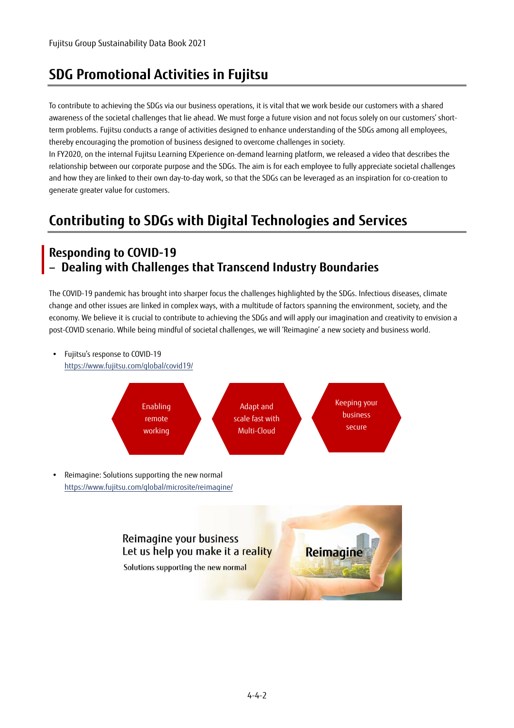## **SDG Promotional Activities in Fujitsu**

To contribute to achieving the SDGs via our business operations, it is vital that we work beside our customers with a shared awareness of the societal challenges that lie ahead. We must forge a future vision and not focus solely on our customers' shortterm problems. Fujitsu conducts a range of activities designed to enhance understanding of the SDGs among all employees, thereby encouraging the promotion of business designed to overcome challenges in society.

In FY2020, on the internal Fujitsu Learning EXperience on-demand learning platform, we released a video that describes the relationship between our corporate purpose and the SDGs. The aim is for each employee to fully appreciate societal challenges and how they are linked to their own day-to-day work, so that the SDGs can be leveraged as an inspiration for co-creation to generate greater value for customers.

# **Contributing to SDGs with Digital Technologies and Services**

#### **Responding to COVID-19**  – **Dealing with Challenges that Transcend Industry Boundaries**

The COVID-19 pandemic has brought into sharper focus the challenges highlighted by the SDGs. Infectious diseases, climate change and other issues are linked in complex ways, with a multitude of factors spanning the environment, society, and the economy. We believe it is crucial to contribute to achieving the SDGs and will apply our imagination and creativity to envision a post-COVID scenario. While being mindful of societal challenges, we will 'Reimagine' a new society and business world.



Solutions supporting the new normal

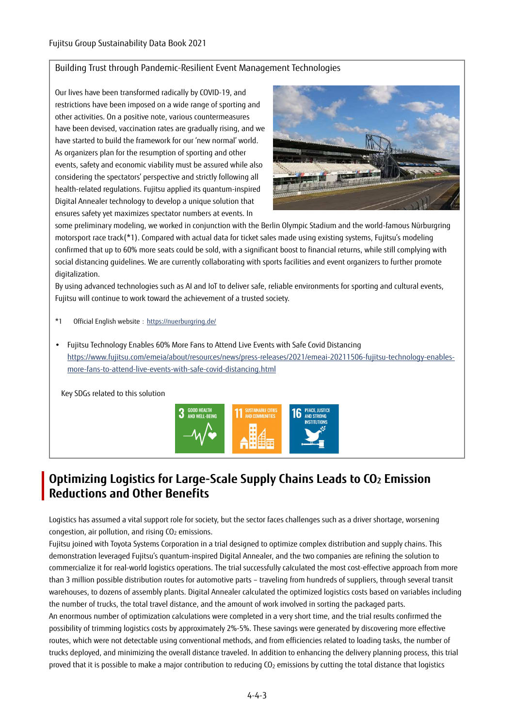#### Building Trust through Pandemic-Resilient Event Management Technologies

Our lives have been transformed radically by COVID-19, and restrictions have been imposed on a wide range of sporting and other activities. On a positive note, various countermeasures have been devised, vaccination rates are gradually rising, and we have started to build the framework for our 'new normal' world. As organizers plan for the resumption of sporting and other events, safety and economic viability must be assured while also considering the spectators' perspective and strictly following all health-related regulations. Fujitsu applied its quantum-inspired Digital Annealer technology to develop a unique solution that ensures safety yet maximizes spectator numbers at events. In



some preliminary modeling, we worked in conjunction with the Berlin Olympic Stadium and the world-famous Nürburgring motorsport race track(\*1). Compared with actual data for ticket sales made using existing systems, Fujitsu's modeling confirmed that up to 60% more seats could be sold, with a significant boost to financial returns, while still complying with social distancing guidelines. We are currently collaborating with sports facilities and event organizers to further promote digitalization.

By using advanced technologies such as AI and IoT to deliver safe, reliable environments for sporting and cultural events, Fujitsu will continue to work toward the achievement of a trusted society.

- \*1 Official English website: https://nuerburgring.de/
- Fujitsu Technology Enables 60% More Fans to Attend Live Events with Safe Covid Distancing https://www.fujitsu.com/emeia/about/resources/news/press-releases/2021/emeai-20211506-fujitsu-technology-enablesmore-fans-to-attend-live-events-with-safe-covid-distancing.html

Key SDGs related to this solution



### **Optimizing Logistics for Large-Scale Supply Chains Leads to CO2 Emission Reductions and Other Benefits**

Logistics has assumed a vital support role for society, but the sector faces challenges such as a driver shortage, worsening congestion, air pollution, and rising  $CO<sub>2</sub>$  emissions.

Fujitsu joined with Toyota Systems Corporation in a trial designed to optimize complex distribution and supply chains. This demonstration leveraged Fujitsu's quantum-inspired Digital Annealer, and the two companies are refining the solution to commercialize it for real-world logistics operations. The trial successfully calculated the most cost-effective approach from more than 3 million possible distribution routes for automotive parts – traveling from hundreds of suppliers, through several transit warehouses, to dozens of assembly plants. Digital Annealer calculated the optimized logistics costs based on variables including the number of trucks, the total travel distance, and the amount of work involved in sorting the packaged parts. An enormous number of optimization calculations were completed in a very short time, and the trial results confirmed the possibility of trimming logistics costs by approximately 2%-5%. These savings were generated by discovering more effective routes, which were not detectable using conventional methods, and from efficiencies related to loading tasks, the number of trucks deployed, and minimizing the overall distance traveled. In addition to enhancing the delivery planning process, this trial proved that it is possible to make a major contribution to reducing CO2 emissions by cutting the total distance that logistics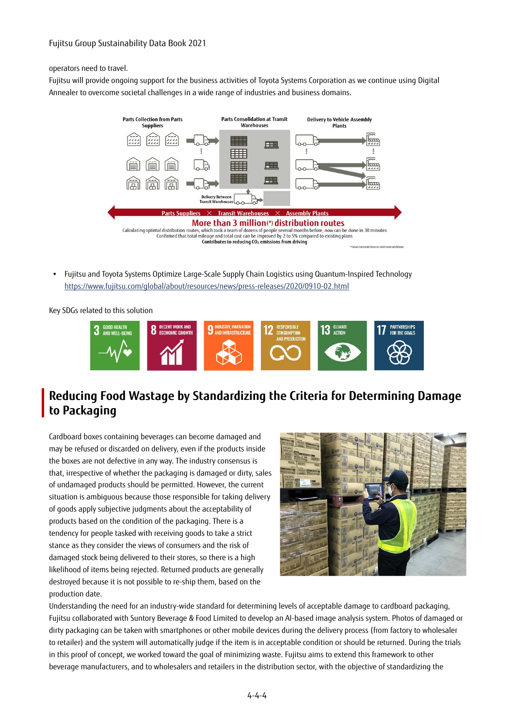#### Fujitsu Group Sustainability Data Book 2021

operators need to travel.

Fujitsu will provide ongoing support for the business activities of Toyota Systems Corporation as we continue using Digital Annealer to overcome societal challenges in a wide range of industries and business domains.



 Fujitsu and Toyota Systems Optimize Large-Scale Supply Chain Logistics using Quantum-Inspired Technology https://www.fujitsu.com/global/about/resources/news/press-releases/2020/0910-02.html

Key SDGs related to this solution



#### **Reducing Food Wastage by Standardizing the Criteria for Determining Damage to Packaging**

Cardboard boxes containing beverages can become damaged and may be refused or discarded on delivery, even if the products inside the boxes are not defective in any way. The industry consensus is that, irrespective of whether the packaging is damaged or dirty, sales of undamaged products should be permitted. However, the current situation is ambiguous because those responsible for taking delivery of goods apply subjective judgments about the acceptability of products based on the condition of the packaging. There is a tendency for people tasked with receiving goods to take a strict stance as they consider the views of consumers and the risk of damaged stock being delivered to their stores, so there is a high likelihood of items being rejected. Returned products are generally destroyed because it is not possible to re-ship them, based on the production date.



Understanding the need for an industry-wide standard for determining levels of acceptable damage to cardboard packaging, Fujitsu collaborated with Suntory Beverage & Food Limited to develop an AI-based image analysis system. Photos of damaged or dirty packaging can be taken with smartphones or other mobile devices during the delivery process (from factory to wholesaler to retailer) and the system will automatically judge if the item is in acceptable condition or should be returned. During the trials in this proof of concept, we worked toward the goal of minimizing waste. Fujitsu aims to extend this framework to other beverage manufacturers, and to wholesalers and retailers in the distribution sector, with the objective of standardizing the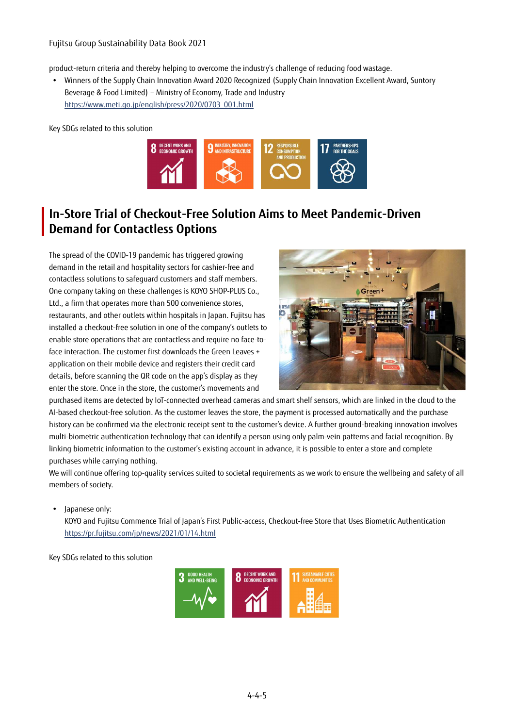product-return criteria and thereby helping to overcome the industry's challenge of reducing food wastage.

 Winners of the Supply Chain Innovation Award 2020 Recognized (Supply Chain Innovation Excellent Award, Suntory Beverage & Food Limited) – Ministry of Economy, Trade and Industry https://www.meti.go.jp/english/press/2020/0703\_001.html

Key SDGs related to this solution



#### **In-Store Trial of Checkout-Free Solution Aims to Meet Pandemic-Driven Demand for Contactless Options**

The spread of the COVID-19 pandemic has triggered growing demand in the retail and hospitality sectors for cashier-free and contactless solutions to safeguard customers and staff members. One company taking on these challenges is KOYO SHOP-PLUS Co., Ltd., a firm that operates more than 500 convenience stores, restaurants, and other outlets within hospitals in Japan. Fujitsu has installed a checkout-free solution in one of the company's outlets to enable store operations that are contactless and require no face-toface interaction. The customer first downloads the Green Leaves + application on their mobile device and registers their credit card details, before scanning the QR code on the app's display as they enter the store. Once in the store, the customer's movements and



purchased items are detected by IoT-connected overhead cameras and smart shelf sensors, which are linked in the cloud to the AI-based checkout-free solution. As the customer leaves the store, the payment is processed automatically and the purchase history can be confirmed via the electronic receipt sent to the customer's device. A further ground-breaking innovation involves multi-biometric authentication technology that can identify a person using only palm-vein patterns and facial recognition. By linking biometric information to the customer's existing account in advance, it is possible to enter a store and complete purchases while carrying nothing.

We will continue offering top-quality services suited to societal requirements as we work to ensure the wellbeing and safety of all members of society.

• Japanese only:

KOYO and Fujitsu Commence Trial of Japan's First Public-access, Checkout-free Store that Uses Biometric Authentication https://pr.fujitsu.com/jp/news/2021/01/14.html

Key SDGs related to this solution

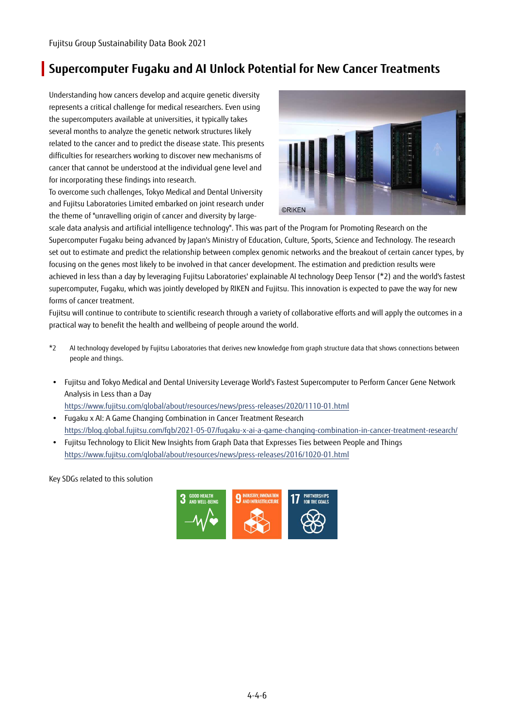### **Supercomputer Fugaku and AI Unlock Potential for New Cancer Treatments**

Understanding how cancers develop and acquire genetic diversity represents a critical challenge for medical researchers. Even using the supercomputers available at universities, it typically takes several months to analyze the genetic network structures likely related to the cancer and to predict the disease state. This presents difficulties for researchers working to discover new mechanisms of cancer that cannot be understood at the individual gene level and for incorporating these findings into research.

To overcome such challenges, Tokyo Medical and Dental University and Fujitsu Laboratories Limited embarked on joint research under the theme of "unravelling origin of cancer and diversity by large-



scale data analysis and artificial intelligence technology". This was part of the Program for Promoting Research on the Supercomputer Fugaku being advanced by Japan's Ministry of Education, Culture, Sports, Science and Technology. The research set out to estimate and predict the relationship between complex genomic networks and the breakout of certain cancer types, by focusing on the genes most likely to be involved in that cancer development. The estimation and prediction results were achieved in less than a day by leveraging Fujitsu Laboratories' explainable AI technology Deep Tensor (\*2) and the world's fastest supercomputer, Fugaku, which was jointly developed by RIKEN and Fujitsu. This innovation is expected to pave the way for new forms of cancer treatment.

Fujitsu will continue to contribute to scientific research through a variety of collaborative efforts and will apply the outcomes in a practical way to benefit the health and wellbeing of people around the world.

- \*2 AI technology developed by Fujitsu Laboratories that derives new knowledge from graph structure data that shows connections between people and things.
- Fujitsu and Tokyo Medical and Dental University Leverage World's Fastest Supercomputer to Perform Cancer Gene Network Analysis in Less than a Day

https://www.fujitsu.com/global/about/resources/news/press-releases/2020/1110-01.html

- Fugaku x AI: A Game Changing Combination in Cancer Treatment Research https://blog.global.fujitsu.com/fgb/2021-05-07/fugaku-x-ai-a-game-changing-combination-in-cancer-treatment-research/
- Fujitsu Technology to Elicit New Insights from Graph Data that Expresses Ties between People and Things https://www.fujitsu.com/global/about/resources/news/press-releases/2016/1020-01.html

Key SDGs related to this solution